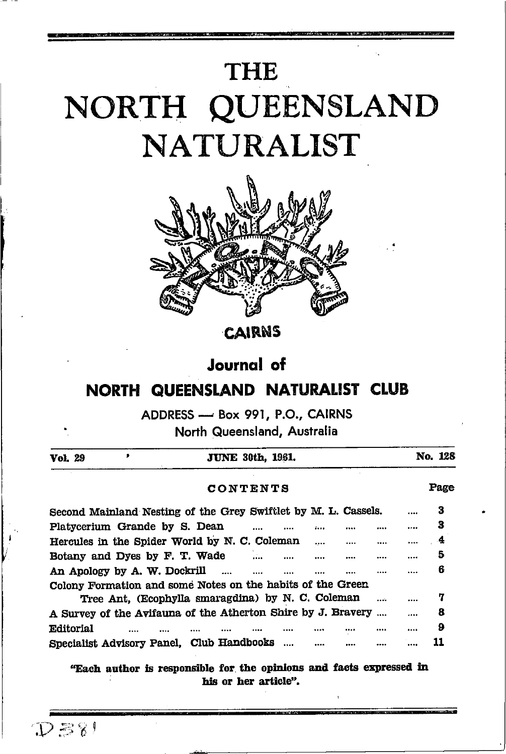# **THE** NORTH QUEENSLAND **NATURALIST**



CAIRNS

# **Journal** of

# NORTH QUEENSLAND NATURALIST CLUB

ADDRESS - Box 991, P.O., CAIRNS

North Queensland, Australia

| Vol. 29   | ,                                                              |  | <b>JUNE 30th, 1961.</b>       |  |                |  |  |          | No. 128 |
|-----------|----------------------------------------------------------------|--|-------------------------------|--|----------------|--|--|----------|---------|
| CONTENTS  |                                                                |  |                               |  |                |  |  |          |         |
|           | Second Mainland Nesting of the Grey Swiftlet by M. L. Cassels. |  |                               |  |                |  |  |          | 3       |
|           | Platycerium Grande by S. Dean                                  |  | $\mathbf{r}$ and $\mathbf{r}$ |  | $L_{\rm{max}}$ |  |  |          | 3       |
|           | Hercules in the Spider World by N. C. Coleman                  |  |                               |  | $\cdots$       |  |  | $\cdots$ | 4       |
|           | Botany and Dyes by F. T. Wade                                  |  |                               |  | $\cdots$       |  |  |          | 5       |
|           | An Apology by A. W. Dockrill                                   |  |                               |  |                |  |  |          | 6       |
|           | Colony Formation and some Notes on the habits of the Green     |  |                               |  |                |  |  |          |         |
|           | Tree Ant. (Ecophylla smaragdina) by N. C. Coleman              |  |                               |  |                |  |  |          | 7       |
|           | A Survey of the Avifauna of the Atherton Shire by J. Bravery   |  |                               |  |                |  |  |          | 8       |
| Editorial |                                                                |  |                               |  |                |  |  |          | 9       |
|           | Specialist Advisory Panel, Club Handbooks                      |  |                               |  |                |  |  |          |         |

"Each author is responsible for the opinions and facts expressed in his or her article".

 $D=81$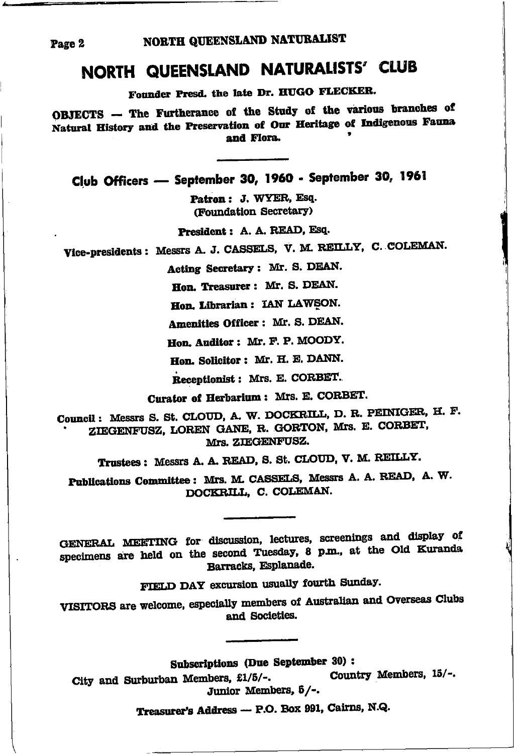# NORTH QUEENSLAND NATURALISTS' CLUB

Founder Presd. the late Dr. HUGO FLECKER.

OBJECTS - The Furtherance of the Study of the various branches of Natural History and the Preservation of Our Heritage of Indigenous Fauna and Flora.

Club Officers - September 30, 1960 - September 30, 1961

Patron: J. WYER, Esq. (Foundation Secretary)

President : A. A. READ. Esq.

Vice-presidents: Messrs A. J. CASSELS, V. M. REILLY, C. COLEMAN.

Acting Secretary: Mr. S. DEAN.

Hon. Treasurer: Mr. S. DEAN.

Hon. Librarian : IAN LAWSON.

Amenities Officer: Mr. S. DEAN.

Hon. Auditor: Mr. F. P. MOODY.

Hon. Solicitor: Mr. H. E. DANN.

Receptionist: Mrs. E. CORBET.

Curator of Herbarium: Mrs. E. CORBET.

Council: Messrs S. St. CLOUD, A. W. DOCKRILL, D. R. PEINIGER, H. F. ZIEGENFUSZ, LOREN GANE, R. GORTON, Mrs. E. CORBET, Mrs. ZIEGENFUSZ.

Trustees: Messrs A. A. READ, S. St. CLOUD, V. M. REILLY.

Publications Committee: Mrs. M. CASSELS, Messrs A. A. READ, A. W. DOCKRILL, C. COLEMAN.

GENERAL MEETING for discussion, lectures, screenings and display of specimens are held on the second Tuesday, 8 p.m., at the Old Kuranda Barracks. Esplanade.

FIELD DAY excursion usually fourth Sunday.

VISITORS are welcome, especially members of Australian and Overseas Clubs and Societies.

Subscriptions (Due September 30):

Country Members, 15/-. City and Surburban Members, £1/5/-. Junior Members, 5/-.

Treasurer's Address - P.O. Box 991, Cairns, N.Q.

Page 2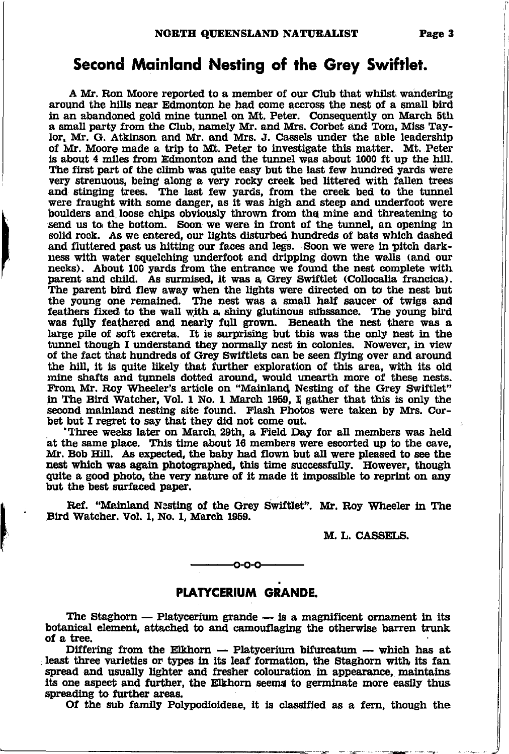A Mr. Ron Moore reported to a member of our Club that whilst wandering around the hills near Edmonton he had come accross the nest of a small bird in an abandoned gold mine tunnel on Mt. Peter. Consequently on March 5th a small party from the Club, namely Mr. and Mrs. Corbet and Tom, Miss Taylor, Mr. G. Atkinson and Mr. and Mrs. J. Cassels under the able leadership of Mr. Moore made a fip to Mt. Peter to lrvestigate tbis matter. Mt. Peter is about 4 miles from Edmonton and the tunnel was about 1000 ft up the hill. The first part of the climb was quite easy but the last few hundred yards were very strenuous, being along a very rocky creek bed littered with fallen trees and stinging trees. The last few yards, from the creek bed to the tunnel were fraught with some danger, as lt was htgh and steep and underfoot were boulders and loose chips obviously thrown from the mine and threatening to send us to the bottom. Soon we were in front of the tunnel, an opening in solid rock. As we entered, our lights disturbed hundreds of bats which dashed and fluttered past us hitting our faces and legs. Soon we were in pitch darkness with water squelching underfoot and dripping down the walls (and our necks). About 100 yards from the entrance we found the nest complete with parent and child. As surmised, it was a Grey Swiftlet (Collocalia francica). The parent bird flew away when the lights were directed on to the nest but the young one remained. The nest was a small half saucer of twigs and feathers fixed to the wall with a shiny glutinous subssance. The young bird was fully feathered and nearly full grown. Beneath the nest there was a large pile of soft excreta. It is surprising but this was the only nest in the tunnel though I understand they normally nest in colonies. Nowever, in view of the fact that hundreds of Grey Swiftlets can be seen flying over and around the hill, it is quite likely that further exploration of this area, with its old mine shafts and tunnels dotted around, would unearth more of these nests. From Mr. Roy Wheeler's article on "Mainland Nesting of the Grey Swiftlet" in The Bird Watcher, Vol. 1 No. 1 March 1959, I gather that this is only the second mainland nesting site found. Flash Photos were taken by Mrs. Corbet but I regret to say that they did not come out.

Three weeks later on March 29th, a Field Day for all members was held at the same place. This time about 16 members were escorted up to the cave, Mr. Bob Hill. As expected, the baby had flown but all were pleased to see th 'Three weeks later on March 29th, a Field Day for all members was held Mr. Bob Hill. As expected, the baby had flown but all were pleased to see the nest which was again photographed, this time successfully. However, though quite a good photo, the very nature of it made it impossible to reprint on any but the best surfaced paper.

Ref. "Mainland Nesting of the Grey Swiftlet". Mr. Roy Wheeler in The Bird Watcher. Vol. 1, No. 1, March 1959.

M. L. CASSELS.

### PLATYCERIUM GRANDE.

-€-o-o-

The Staghorn — Platycerium grande — is a magnificent ornament in its In the stagnorm — Platycerium grande — is a magnificent ornament in its<br>botanical element, attached to and camouflaging the otherwise barren trunk of a tree.

Differing from the Elkhorn  $-$  Platycerium bifurcatum  $-$  which has at Differing from the Eikhorn  $\rightarrow$  Platycerium bifurcatum  $\rightarrow$  which has at least three varieties or types in its leaf formation, the Staghorn with its fan spread and usually lighter and fresher colouration in appearance, maintains its one aspect and further, the Elkhorn seems to germinate more easily thus spreading to further areas.

Of the sub famtly Polypodiotdeae, lt is classfied aa a fenr, though the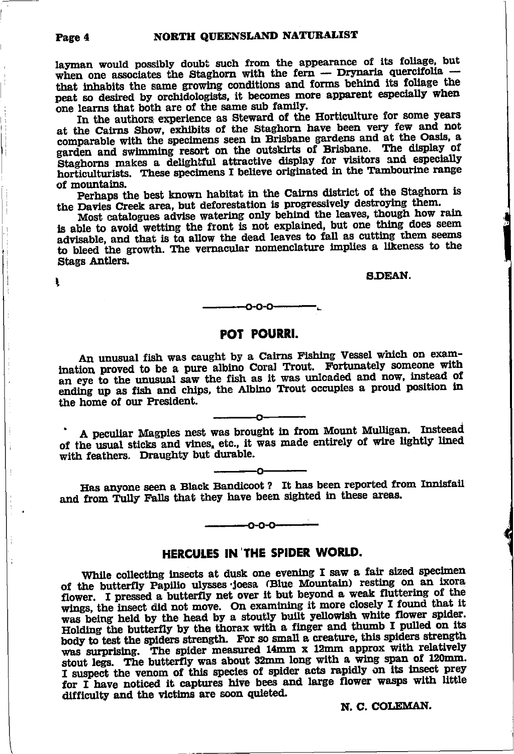layman would possibly doubt such from the appearance of its foliage, but when one associates the Staghorn with the fern - Drynaria quercifolia that inhabits the same growing conditions and forms behind its foliage the peat so desired by orchidologists, it becomes more apparent especially when one learns that both are of the same sub family.

In the authors experience as Steward of the Horticulture for some years at the Cairns Show, exhibits of the Staghorn have been very few and not comparable with the specimens seen in Brisbane gardens and at the Oasis. a garden and swimming resort on the outskirts of Brisbane. The display of Staghorns makes a delightful attractive display for visitors and especially horticulturists. These specimens I believe originated in the Tambourine range of mountains.

Perhaps the best known habitat in the Cairns district of the Staghorn is the Davies Creek area, but deforestation is progressively destroying them.

Most catalogues advise watering only behind the leaves, though how rain is able to avoid wetting the front is not explained, but one thing does seem advisable, and that is to allow the dead leaves to fall as cutting them seems to bleed the growth. The vernacular nomenclature implies a likeness to the Stags Antlers.

**S.DEAN.** 

### o-o-o

### POT POURRI.

An unusual fish was caught by a Cairns Fishing Vessel which on examination proved to be a pure albino Coral Trout. Fortunately someone with an eye to the unusual saw the fish as it was unloaded and now, instead of ending up as fish and chips, the Albino Trout occupies a proud position in the home of our President.

A peculiar Magpies nest was brought in from Mount Mulligan. Insteead of the usual sticks and vines, etc., it was made entirely of wire lightly lined with feathers. Draughty but durable.

Has anyone seen a Black Bandicoot? It has been reported from Innisfail and from Tully Falls that they have been sighted in these areas.

### HERCULES IN THE SPIDER WORLD.

റ-റ-റ-

While collecting insects at dusk one evening I saw a fair sized specimen of the butterfly Papilio ulysses joesa (Blue Mountain) resting on an ixora flower. I pressed a butterfly net over it but beyond a weak fluttering of the wings, the insect did not move. On examining it more closely I found that it was being held by the head by a stoutly built yellowish white flower spider. Holding the butterfly by the thorax with a finger and thumb I pulled on its body to test the spiders strength. For so small a creature, this spiders strength was surprising. The spider measured 14mm x 12mm approx with relatively stout legs. The butterfly was about 32mm long with a wing span of 120mm. I suspect the venom of this species of spider acts rapidly on its insect prey for I have noticed it captures hive bees and large flower wasps with little difficulty and the victims are soon quieted.

N. C. COLEMAN.

#### Page 4

ŧ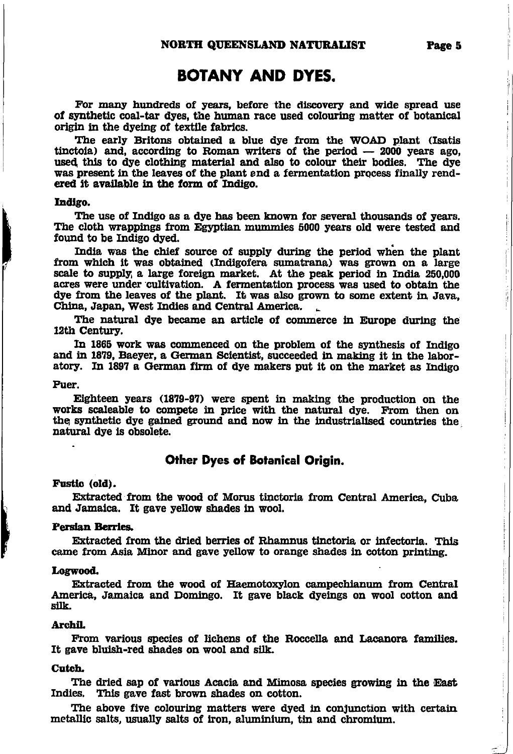## **BOTANY AND DYES.**

For many hundreds of years, before the discovery and wide spread use of synthetic coal-tar dyes, the human race used colouring matter of botanical origin in the dyeing of textile fabrics.

The early Britons obtained a blue dye from the WOAD plant (Isatis tinctoia) and, according to Roman writers of the period  $-2000$  years ago, used this to dye clothing material and also to colour their bodies. The dye was present in the leaves of the plant and a fermentation process finally rendered it available in the form of Indigo.

#### Indigo.

The use of Indigo as a dye has been known for several thousands of years. The cloth wrappings from Egyptian mummies 5000 years old were tested and found to be Indigo dyed.

India was the chief source of supply during the period when the plant from which it was obtained (Indigofera sumatrana) was grown on a large scale to supply, a large foreign market. At the peak period in India 250,000 acres were under cultivation. A fermentation process was used to obtain the dye from the leaves of the plant. It was also grown to some extent in Java, China, Japan, West Indies and Central America.

The natural dye became an article of commerce in Europe during the 12th Century.

In 1865 work was commenced on the problem of the synthesis of Indigo and in 1879, Baeyer, a German Scientist, succeeded in making it in the laboratory. In 1897 a German firm of dye makers put it on the market as Indigo

#### Puer.

Eighteen years (1879-97) were spent in making the production on the works scaleable to compete in price with the natural dye. From then on the synthetic dye gained ground and now in the industrialised countries the natural dve is obsolete.

### **Other Dyes of Botanical Origin.**

#### Fustic (old).

Extracted from the wood of Morus tinctoria from Central America, Cuba and Jamaica. It gave yellow shades in wool.

#### **Persian Berries.**

Extracted from the dried berries of Rhamnus tinctoria or infectoria. This came from Asia Minor and gave yellow to orange shades in cotton printing.

#### Logwood.

Extracted from the wood of Haemotoxylon campechianum from Central America, Jamaica and Domingo. It gave black dyeings on wool cotton and silk.

#### Archil.

From various species of lichens of the Roccella and Lacanora families. It gave bluish-red shades on wool and silk.

#### Cutch.

The dried sap of various Acacia and Mimosa species growing in the East Indies. This gave fast brown shades on cotton.

The above five colouring matters were dyed in conjunction with certain metallic salts, usually salts of iron, aluminium, tin and chromium.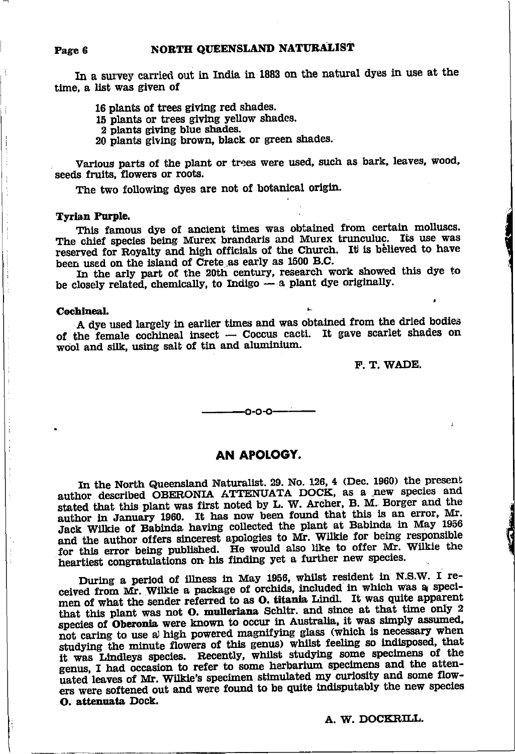In a survey carried out in India in 1883 on the natural dyes in use at the time, a list was given of

16 plants of trees giving red shades.

15 plants or trees giving yellow shades.

2 plants giving blue shades.

20 plants giving brown, black or green shades.

Various parts of the plant or trees were used, such as bark, leaves, wood, seeds fruits, flowers or roots.

The two following dyes are not of botanical origin.

#### **Tyrian Purple.**

This famous dye of ancient times was obtained from certain molluscs. The chief species being Murex brandaris and Murex trunculuc. Its use was reserved for Royalty and high officials of the Church. It is believed to have been used on the island of Crete as early as 1500 B.C.

In the arly part of the 20th century, research work showed this dye to be closely related, chemically, to Indigo - a plant dye originally.

#### Cochineal.

A dye used largely in earlier times and was obtained from the dried bodies of the female cochineal insect - Coccus cacti. It gave scarlet shades on wool and silk, using salt of tin and aluminium.

F. T. WADE.

### AN APOLOGY.

 $-0 - 0 - 0$ 

In the North Queensland Naturalist. 29. No. 126, 4 (Dec. 1960) the present author described OBERONIA ATTENUATA DOCK, as a new species and stated that this plant was first noted by L. W. Archer, B. M. Borger and the author in January 1960. It has now been found that this is an error, Mr. Jack Wilkie of Babinda having collected the plant at Babinda in May 1956 and the author offers sincerest apologies to Mr. Wilkie for being responsible for this error being published. He would also like to offer Mr. Wilkie the heartiest congratulations on his finding yet a further new species.

During a period of illness in May 1956, whilst resident in N.S.W. I received from Mr. Wilkie a package of orchids, included in which was a specimen of what the sender referred to as O. titania Lindl. It was quite apparent that this plant was not O. mulleriana Schltr. and since at that time only 2 species of Oberonia were known to occur in Australia, it was simply assumed, not caring to use a high powered magnifying glass (which is necessary when studying the minute flowers of this genus) whilst feeling so indisposed, that<br>it was Lindleys species. Recently, whilst studying some specimens of the genus, I had occasion to refer to some herbarium specimens and the attenuated leaves of Mr. Wilkie's specimen stimulated my curiosity and some flowers were softened out and were found to be quite indisputably the new species O. attenuata Dock.

A. W. DOCKRILL.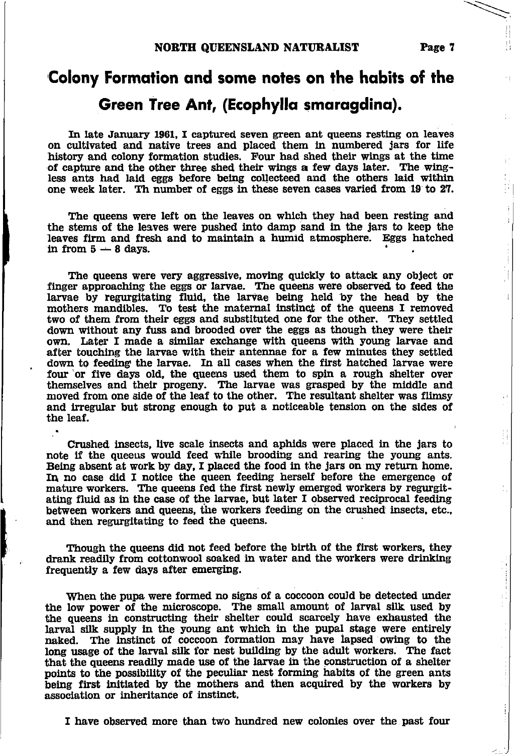$\overline{\phantom{0}}$ 

 $\prod_{i=1}^{n-1}$ 

# Colony Formation and some notes on the habits of the Green Tree Ant, (Ecophyllo smorogdino).

In late January 1961, I captured seven green ant queens resting on leaves on culttvated and native trees and placed them ln numbered Jars for life history and colony formation studies. Four had shed their wings at the time of capture and the other three shed their wings a few days later. The wingless ants had laid eggs before being collecteed and the others laid within one week later. Th number of eggs in these seven cases varied from 19 to 27.

The queens were left on the leaves on which they had been resting and the stems of the leaves were pushed into damp sand in the jars to keep the leaves firm and fresh and to maintain a humid atmosphere. Eggs hatched in from  $5-8$  days.

The queens were very aggressive, moving quickly to attack any object or finger approaching the eggs or larvae. The queens were observed to feed the larvae by regurgitating fluid, the larvae being held by the head by the mothers mandibles. To test the maternal instinct of the queens I removed two of them from their eggs and substituted one for the other. They settled down without any fuss and brooded over the eggs as though they were their own. Later I made a similar exchange with queens with young larvae and after touching the larvae with their antennae for a few minutes they settled down to feeding the larvae. In all cases when the first hatched larvae were four 'or five days old, the queens used them to spin a rough shelter over themselves and their progeny. The larvae was grasped by the middle and moved from one side of the leaf to the other. The resultant shelter was flimsy and irregular but strong enough to put a noticeable tension on the sides of the leaf.

Crushed insects, live scale insects and aphids were placed in the jars to note if the queeus would feed while brooding and rearing the young ants, Being absent at work by day, I placed the food in the jars on my return home. In no case did I notice the queen feeding herself before the emergence of mature workers. The queens fed the first newly emerged workers by regurgitating fluid as in the case of the larvae, but later I observed reciprocal feeding between workers and queens, the workers feeding on the crushed insects, etc., and then regurgitating to feed the queens.

Though the queens did not feed before the birth of the first workers, they drank readily from cottonwool soaked in water and the workers were drinking frequently a few days after emerging.

When the pupa were formed no signs of a coccoon could be detected under the low power of the microscope. The small amount of larval silk used by the queens in constructing their shelter could scarcely have exhausted the larval silk supply in the young ant which in the pupal stage were entirely naked. The instinct of coccoon formation may have lapsed owing to the long usage of the larval silk for nest building by the adult workers. The fact that the queens readily made use of the larvae in the construction of a shelter points to the possibility of the peculiar nest forming habits of the green ants being first initiated by the mothers and then acquired by the workers by association or inheritance of instinct.

I have observed more than two hundred new colonies over the past four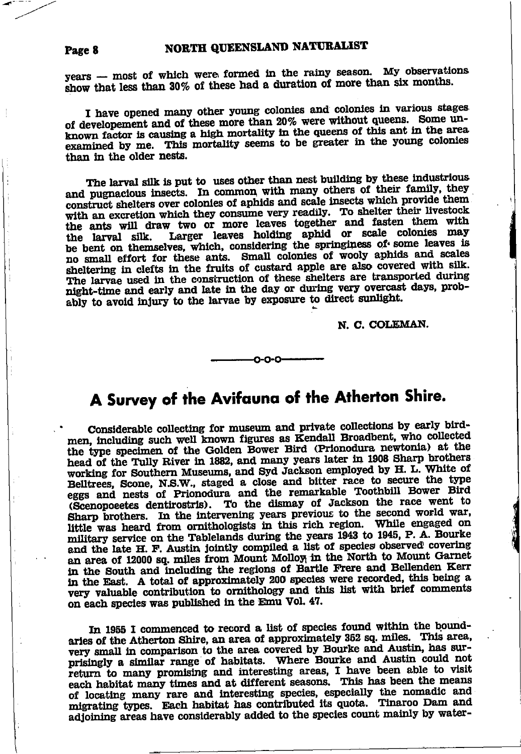#### NORTH QUEENSLAND NATURALIST Page 8

years - most of which were formed in the rainy season. My observations show that less than 30% of these had a duration of more than six months.

I have opened many other young colonies and colonies in various stages of developement and of these more than 20% were without queens. Some unknown factor is causing a high mortality in the queens of this ant in the area examined by me. This mortality seems to be greater in the young colonies than in the older nests.

The larval silk is put to uses other than nest building by these industrious and pugnacious insects. In common with many others of their family, they construct shelters over colonies of aphids and scale insects which provide them with an excretion which they consume very readily. To shelter their livestock the ants will draw two or more leaves together and fasten them with Larger leaves holding aphid or scale colonies may the larval silk. be bent on themselves, which, considering the springiness of some leaves is no small effort for these ants. Small colonies of wooly aphids and scales sheltering in clefts in the fruits of custard apple are also covered with silk. The larvae used in the construction of these shelters are transported during night-time and early and late in the day or during very overcast days, probably to avoid injury to the larvae by exposure to direct sunlight.

N. C. COLEMAN.

# A Survey of the Avifauna of the Atherton Shire.

Considerable collecting for museum and private collections by early birdmen, including such well known figures as Kendall Broadbent, who collected the type specimen of the Golden Bower Bird (Prionodura newtonia) at the head of the Tully River in 1882, and many years later in 1908 Sharp brothers working for Southern Museums, and Syd Jackson employed by H. L. White of Belltrees, Scone, N.S.W., staged a close and bitter race to secure the type eggs and nests of Prionodura and the remarkable Toothbill Bower Bird (Scenopoeetes dentirostris). To the dismay of Jackson the race went to Sharp brothers. In the intervening years previous to the second world war, little was heard from ornithologists in this rich region. While engaged on military service on the Tablelands during the years 1943 to 1945, P. A. Bourke and the late H. F. Austin jointly compiled a list of species observed covering an area of 12000 sq. miles from Mount Molloy in the North to Mount Garnet in the South and including the regions of Bartle Frere and Bellenden Kerr in the East. A total of approximately 200 species were recorded, this being a very valuable contribution to ornithology and this list with brief comments on each species was published in the Emu Vol. 47.

In 1955 I commenced to record a list of species found within the boundaries of the Atherton Shire, an area of approximately 352 sq. miles. This area, very small in comparison to the area covered by Bourke and Austin, has surprisingly a similar range of habitats. Where Bourke and Austin could not return to many promising and interesting areas, I have been able to visit each habitat many times and at different seasons. This has been the means of locating many rare and interesting species, especially the nomadic and migrating types. Each habitat has contributed its quota. Tinaroo Dam and adjoining areas have considerably added to the species count mainly by water-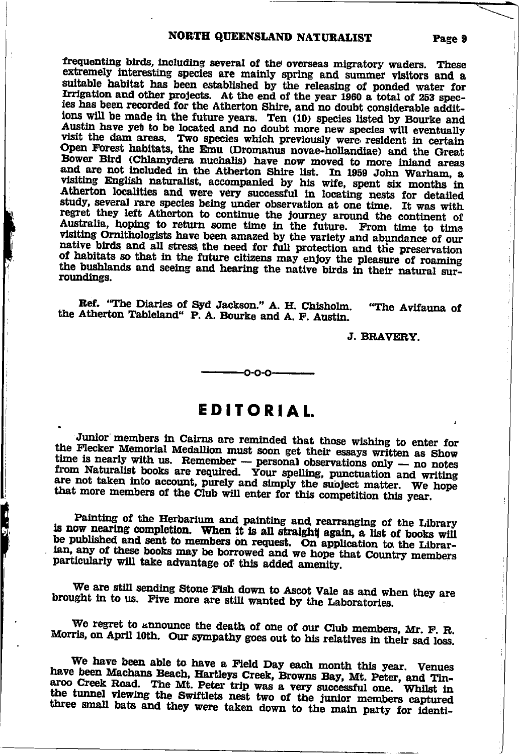### NORTH QUEENSLAND NATURALIST

frequenting birds, including several of the overseas migratory waders. These extremely interesting species are mainly spring and summer visitors and a suitable habitat has been established by the releasing of ponded water for<br>Irrigation and other projects. At the end of the year 1960 a total of 253 species has been recorded for the Atherton Shire, and no doubt considerable additions will be made in the future years. Ten (10) species listed by Bourke and Austin have yet to be located and no doubt more new species will eventually visit the dam areas. Two species which previously were resident in certain Open Forest habitats, the Emu (Dromanus novae-hollandiae) and the Great Bower Bird (Chlamydera nuchalis) have now moved to more inland areas and are not included in the Atherton Shire list. In 1959 John Warham, a visiting English naturalist, accompanied by his wife, spent six months in Atherton localities and were very successful in locating nests for detailed study, several rare species being under observation at one time. It was with regret they left Atherton to continue the journey around the continent of Australia, hoping to return some time in the future. From time to time visiting Ornithologists have been amazed by the variety and abundance of our native birds and all stress the need for full protection and the preservation of habitats so that in the future citizens may enjoy the pleasure of roaming the bushlands and seeing and hearing the native birds in their natural surroundings.

Ref. "The Diaries of Syd Jackson." A. H. Chisholm. "The Avifauna of the Atherton Tableland" P. A. Bourke and A. F. Austin.

J. BRAVERY.

# **EDITORIAL**

0-0-0-

Junior members in Cairns are reminded that those wishing to enter for the Flecker Memorial Medallion must soon get their essays written as Show time is nearly with us. Remember -- personal observations only -- no notes<br>from Naturalist books are required. Your spelling, punctuation and writing are not taken into account, purely and simply the subject matter. We hope that more members of the Club will enter for this competition this year.

Painting of the Herbarium and painting and rearranging of the Library is now nearing completion. When it is all straight again, a list of books will be published and sent to members on request. On application to the Librarian, any of these books may be borrowed and we hope that Country members particularly will take advantage of this added amenity.

**Digital** 

We are still sending Stone Fish down to Ascot Vale as and when they are brought in to us. Five more are still wanted by the Laboratories.

We regret to announce the death of one of our Club members, Mr. F. R. Morris, on April 10th. Our sympathy goes out to his relatives in their sad loss.

We have been able to have a Field Day each month this year. Venues have been Machans Beach, Hartleys Creek, Browns Bay, Mt. Peter, and Tinaroo Creek Road. The Mt. Peter trip was a very successful one. Whilst in the tunnel viewing the Swiftlets nest two of the junior members captured three small bats and they were taken down to the main party for identi-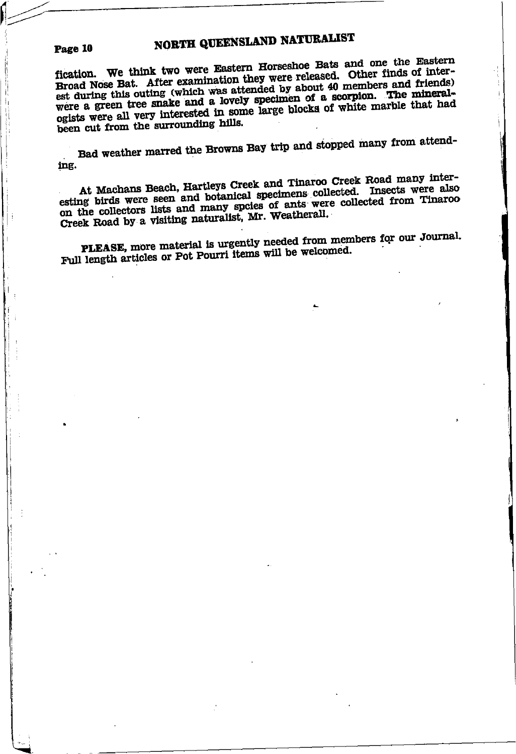# NORTH QUEENSLAND NATURALIST

Page 10

fication. We think two were Eastern Horseshoe Bats and one the Eastern Broad Nose Bat. After examination they were released. Other finds of interest during this outing (which was attended by about 40 members and friends) were a green tree snake and a lovely specimen of a scorpion. The mineralogists were all very interested in some large blocks of white marble that had been cut from the surrounding hills.

Bad weather marred the Browns Bay trip and stopped many from attending.

At Machans Beach, Hartleys Creek and Tinaroo Creek Road many interesting birds were seen and botanical specimens collected. Insects were also on the collectors lists and many speies of ants were collected from Tinaroo Creek Road by a visiting naturalist, Mr. Weatherall.

PLEASE, more material is urgently needed from members for our Journal. Full length articles or Pot Pourri items will be welcomed.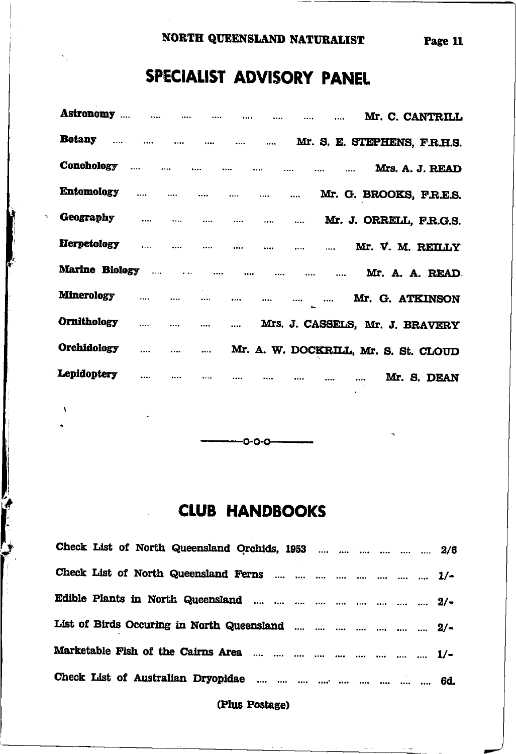#### NORTH QUEENSLAND NATURALIST Page 11

# SPECIALIST ADVISORY PANEL

٠.

|                                       |  |          |          |                                      |                                              | Mr. C. CANTRILL         |  |
|---------------------------------------|--|----------|----------|--------------------------------------|----------------------------------------------|-------------------------|--|
| <b>Botany</b>                         |  |          |          |                                      | Mr. S. E. STEPHENS, F.R.H.S.                 |                         |  |
|                                       |  |          |          |                                      |                                              | Mrs. A. J. READ         |  |
| <b>Entomology</b>                     |  |          |          |                                      | Mr. G. BROOKS, F.R.E.S.                      |                         |  |
| <b>Geography</b>                      |  |          |          |                                      |                                              | Mr. J. ORRELL, F.R.G.S. |  |
| Herpetology        Mr. V. M. REILLY   |  |          |          |                                      |                                              |                         |  |
| Marine Biology        Mr. A. A. READ. |  |          |          |                                      |                                              |                         |  |
| Minerology        Mr. G. ATKINSON     |  |          |          |                                      |                                              |                         |  |
| <b>Ornithology</b>                    |  |          |          |                                      | Mrs. J. CASSELS, Mr. J. BRAVERY              |                         |  |
| Orchidology                           |  |          |          | Mr. A. W. DOCKRILL, Mr. S. St. CLOUD |                                              |                         |  |
| Lepidoptery                           |  | $\cdots$ | $\cdots$ |                                      | $\cdots$ $\cdots$ $\cdots$ $\cdots$ $\cdots$ | Mr. S. DEAN             |  |

# **CLUB HANDBOOKS**

-0-0-0-

| Check List of North Queensland Orchids, 1953      2/6 |
|-------------------------------------------------------|
| Check List of North Queensland Ferns        1/-       |
|                                                       |
| List of Birds Occuring in North Queensland       2/-  |
|                                                       |
|                                                       |
|                                                       |

### (Plus Postage)